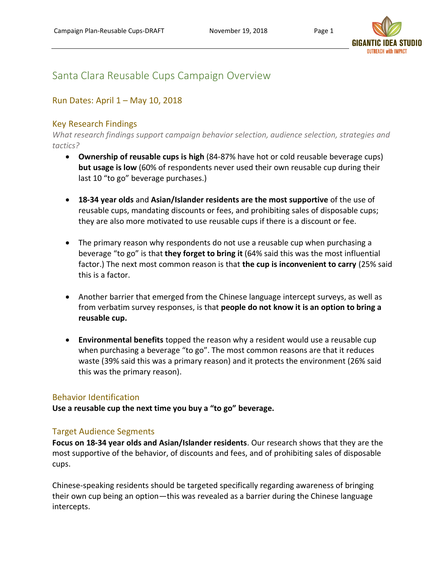

## Santa Clara Reusable Cups Campaign Overview

## Run Dates: April 1 – May 10, 2018

### Key Research Findings

*What research findings support campaign behavior selection, audience selection, strategies and tactics?*

- **Ownership of reusable cups is high** (84-87% have hot or cold reusable beverage cups) **but usage is low** (60% of respondents never used their own reusable cup during their last 10 "to go" beverage purchases.)
- **18-34 year olds** and **Asian/Islander residents are the most supportive** of the use of reusable cups, mandating discounts or fees, and prohibiting sales of disposable cups; they are also more motivated to use reusable cups if there is a discount or fee.
- The primary reason why respondents do not use a reusable cup when purchasing a beverage "to go" is that **they forget to bring it** (64% said this was the most influential factor.) The next most common reason is that **the cup is inconvenient to carry** (25% said this is a factor.
- Another barrier that emerged from the Chinese language intercept surveys, as well as from verbatim survey responses, is that **people do not know it is an option to bring a reusable cup.**
- **Environmental benefits** topped the reason why a resident would use a reusable cup when purchasing a beverage "to go". The most common reasons are that it reduces waste (39% said this was a primary reason) and it protects the environment (26% said this was the primary reason).

#### Behavior Identification

**Use a reusable cup the next time you buy a "to go" beverage.**

#### Target Audience Segments

**Focus on 18-34 year olds and Asian/Islander residents**. Our research shows that they are the most supportive of the behavior, of discounts and fees, and of prohibiting sales of disposable cups.

Chinese-speaking residents should be targeted specifically regarding awareness of bringing their own cup being an option—this was revealed as a barrier during the Chinese language intercepts.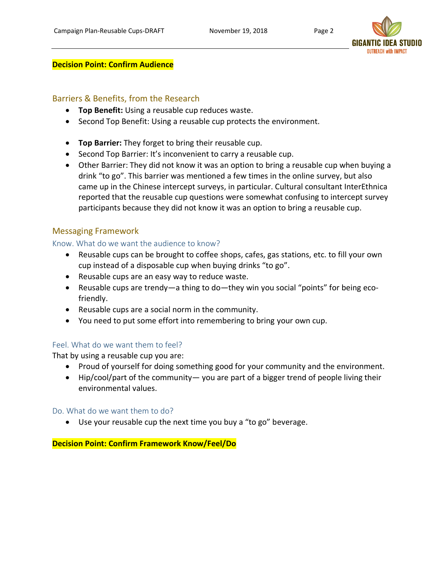

#### **Decision Point: Confirm Audience**

## Barriers & Benefits, from the Research

- **Top Benefit:** Using a reusable cup reduces waste.
- Second Top Benefit: Using a reusable cup protects the environment.
- **Top Barrier:** They forget to bring their reusable cup.
- Second Top Barrier: It's inconvenient to carry a reusable cup.
- Other Barrier: They did not know it was an option to bring a reusable cup when buying a drink "to go". This barrier was mentioned a few times in the online survey, but also came up in the Chinese intercept surveys, in particular. Cultural consultant InterEthnica reported that the reusable cup questions were somewhat confusing to intercept survey participants because they did not know it was an option to bring a reusable cup.

### Messaging Framework

#### Know. What do we want the audience to know?

- Reusable cups can be brought to coffee shops, cafes, gas stations, etc. to fill your own cup instead of a disposable cup when buying drinks "to go".
- Reusable cups are an easy way to reduce waste.
- Reusable cups are trendy—a thing to do—they win you social "points" for being ecofriendly.
- Reusable cups are a social norm in the community.
- You need to put some effort into remembering to bring your own cup.

#### Feel. What do we want them to feel?

That by using a reusable cup you are:

- Proud of yourself for doing something good for your community and the environment.
- Hip/cool/part of the community— you are part of a bigger trend of people living their environmental values.

#### Do. What do we want them to do?

• Use your reusable cup the next time you buy a "to go" beverage.

#### **Decision Point: Confirm Framework Know/Feel/Do**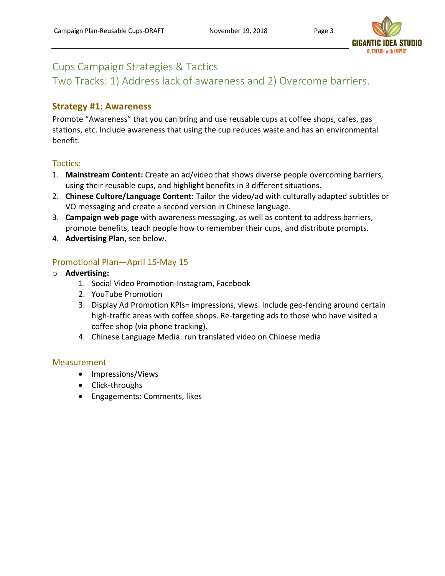

## Cups Campaign Strategies & Tactics

Two Tracks: 1) Address lack of awareness and 2) Overcome barriers.

## **Strategy #1: Awareness**

Promote "Awareness" that you can bring and use reusable cups at coffee shops, cafes, gas stations, etc. Include awareness that using the cup reduces waste and has an environmental benefit.

### Tactics:

- 1. **Mainstream Content:** Create an ad/video that shows diverse people overcoming barriers, using their reusable cups, and highlight benefits in 3 different situations.
- 2. **Chinese Culture/Language Content:** Tailor the video/ad with culturally adapted subtitles or VO messaging and create a second version in Chinese language.
- 3. **Campaign web page** with awareness messaging, as well as content to address barriers, promote benefits, teach people how to remember their cups, and distribute prompts.
- 4. **Advertising Plan**, see below.

## Promotional Plan—April 15-May 15

- o **Advertising:**
	- 1. Social Video Promotion-Instagram, Facebook
	- 2. YouTube Promotion
	- 3. Display Ad Promotion KPIs= impressions, views. Include geo-fencing around certain high-traffic areas with coffee shops. Re-targeting ads to those who have visited a coffee shop (via phone tracking).
	- 4. Chinese Language Media: run translated video on Chinese media

#### **Measurement**

- Impressions/Views
- Click-throughs
- Engagements: Comments, likes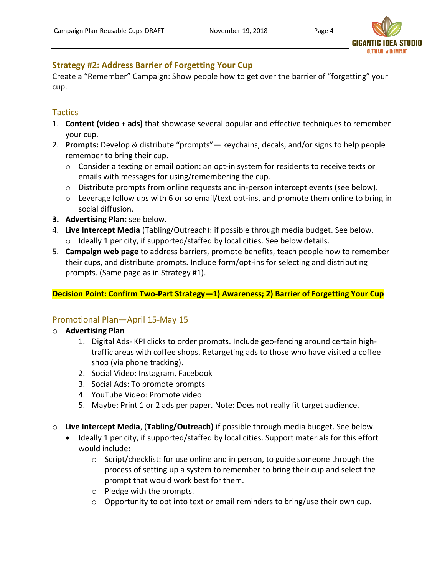

## **Strategy #2: Address Barrier of Forgetting Your Cup**

Create a "Remember" Campaign: Show people how to get over the barrier of "forgetting" your cup.

## **Tactics**

- 1. **Content (video + ads)** that showcase several popular and effective techniques to remember your cup.
- 2. **Prompts:** Develop & distribute "prompts"— keychains, decals, and/or signs to help people remember to bring their cup.
	- $\circ$  Consider a texting or email option: an opt-in system for residents to receive texts or emails with messages for using/remembering the cup.
	- $\circ$  Distribute prompts from online requests and in-person intercept events (see below).
	- $\circ$  Leverage follow ups with 6 or so email/text opt-ins, and promote them online to bring in social diffusion.
- **3. Advertising Plan:** see below.
- 4. **Live Intercept Media** (Tabling/Outreach): if possible through media budget. See below. o Ideally 1 per city, if supported/staffed by local cities. See below details.
- 5. **Campaign web page** to address barriers, promote benefits, teach people how to remember their cups, and distribute prompts. Include form/opt-ins for selecting and distributing prompts. (Same page as in Strategy #1).

## **Decision Point: Confirm Two-Part Strategy—1) Awareness; 2) Barrier of Forgetting Your Cup**

## Promotional Plan—April 15-May 15

- o **Advertising Plan**
	- 1. Digital Ads- KPI clicks to order prompts. Include geo-fencing around certain hightraffic areas with coffee shops. Retargeting ads to those who have visited a coffee shop (via phone tracking).
	- 2. Social Video: Instagram, Facebook
	- 3. Social Ads: To promote prompts
	- 4. YouTube Video: Promote video
	- 5. Maybe: Print 1 or 2 ads per paper. Note: Does not really fit target audience.
- o **Live Intercept Media**, (**Tabling/Outreach)** if possible through media budget. See below.
	- Ideally 1 per city, if supported/staffed by local cities. Support materials for this effort would include:
		- $\circ$  Script/checklist: for use online and in person, to guide someone through the process of setting up a system to remember to bring their cup and select the prompt that would work best for them.
		- o Pledge with the prompts.
		- o Opportunity to opt into text or email reminders to bring/use their own cup.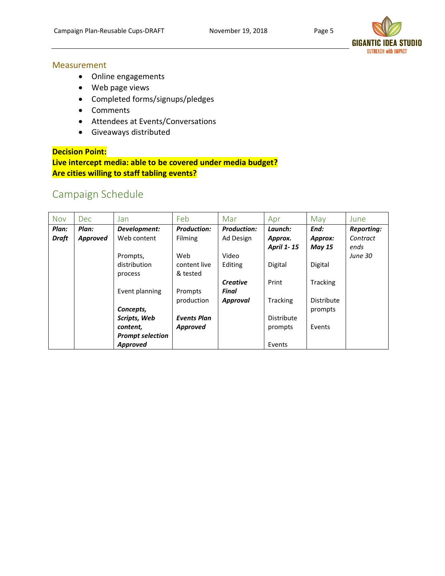

**OUTREACH with IMPACT** 

#### **Measurement**

- Online engagements
- Web page views
- Completed forms/signups/pledges
- Comments
- Attendees at Events/Conversations
- Giveaways distributed

#### **Decision Point:**

**Live intercept media: able to be covered under media budget? Are cities willing to staff tabling events?** 

## Campaign Schedule

| <b>Nov</b>   | Dec.     | Jan                     | Feb                | Mar                | Apr               | May               | June              |
|--------------|----------|-------------------------|--------------------|--------------------|-------------------|-------------------|-------------------|
| Plan:        | Plan:    | Development:            | <b>Production:</b> | <b>Production:</b> | Launch:           | End:              | <b>Reporting:</b> |
| <b>Draft</b> | Approved | Web content             | <b>Filming</b>     | Ad Design          | Approx.           | Approx:           | Contract          |
|              |          |                         |                    |                    | <b>April 1-15</b> | <b>May 15</b>     | ends              |
|              |          | Prompts,                | Web                | Video              |                   |                   | <b>June 30</b>    |
|              |          | distribution            | content live       | Editing            | <b>Digital</b>    | Digital           |                   |
|              |          | process                 | & tested           |                    |                   |                   |                   |
|              |          |                         |                    | Creative           | Print             | <b>Tracking</b>   |                   |
|              |          | Event planning          | Prompts            | Final              |                   |                   |                   |
|              |          |                         | production         | Approval           | <b>Tracking</b>   | <b>Distribute</b> |                   |
|              |          | Concepts,               |                    |                    |                   | prompts           |                   |
|              |          | Scripts, Web            | <b>Events Plan</b> |                    | Distribute        |                   |                   |
|              |          | content,                | <b>Approved</b>    |                    | prompts           | Events            |                   |
|              |          | <b>Prompt selection</b> |                    |                    |                   |                   |                   |
|              |          | Approved                |                    |                    | Events            |                   |                   |